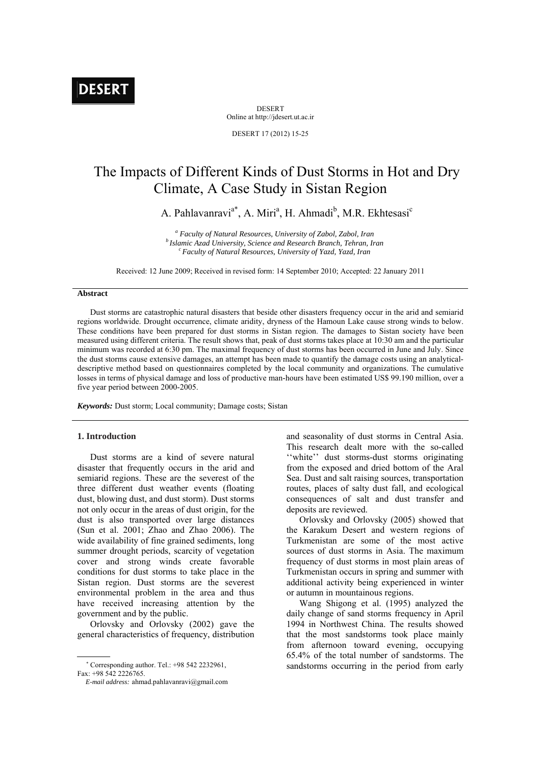DESERT Online at http://jdesert.ut.ac.ir

DESERT 17 (2012) 15-25

# The Impacts of Different Kinds of Dust Storms in Hot and Dry Climate, A Case Study in Sistan Region

A. Pahlavanravi<sup>a\*</sup>, A. Miri<sup>a</sup>, H. Ahmadi<sup>b</sup>, M.R. Ekhtesasi<sup>c</sup>

<sup>a</sup> Faculty of Natural Resources, University of Zabol, Zabol, Iran *<sup>b</sup> Islamic Azad University, Science and Research Branch, Tehran, Iran* <sup>c</sup> Faculty of Natural Resources, University of Yazd, Yazd, Iran

Received: 12 June 2009; Received in revised form: 14 September 2010; Accepted: 22 January 2011

## **Abstract**

Dust storms are catastrophic natural disasters that beside other disasters frequency occur in the arid and semiarid regions worldwide. Drought occurrence, climate aridity, dryness of the Hamoun Lake cause strong winds to below. These conditions have been prepared for dust storms in Sistan region. The damages to Sistan society have been measured using different criteria. The result shows that, peak of dust storms takes place at 10:30 am and the particular minimum was recorded at 6:30 pm. The maximal frequency of dust storms has been occurred in June and July. Since the dust storms cause extensive damages, an attempt has been made to quantify the damage costs using an analyticaldescriptive method based on questionnaires completed by the local community and organizations. The cumulative losses in terms of physical damage and loss of productive man-hours have been estimated US\$ 99.190 million, over a five year period between 2000-2005.

*Keywords:* Dust storm; Local community; Damage costs; Sistan

## **1. Introduction**

Dust storms are a kind of severe natural disaster that frequently occurs in the arid and semiarid regions. These are the severest of the three different dust weather events (floating dust, blowing dust, and dust storm). Dust storms not only occur in the areas of dust origin, for the dust is also transported over large distances (Sun et al. 2001; Zhao and Zhao 2006). The wide availability of fine grained sediments, long summer drought periods, scarcity of vegetation cover and strong winds create favorable conditions for dust storms to take place in the Sistan region. Dust storms are the severest environmental problem in the area and thus have received increasing attention by the government and by the public.

Orlovsky and Orlovsky (2002) gave the general characteristics of frequency, distribution

 Corresponding author. Tel.: +98 542 2232961, Fax: +98 542 2226765.

 *E-mail address:* ahmad.pahlavanravi@gmail.com

and seasonality of dust storms in Central Asia. This research dealt more with the so-called ''white'' dust storms-dust storms originating from the exposed and dried bottom of the Aral Sea. Dust and salt raising sources, transportation routes, places of salty dust fall, and ecological consequences of salt and dust transfer and deposits are reviewed.

Orlovsky and Orlovsky (2005) showed that the Karakum Desert and western regions of Turkmenistan are some of the most active sources of dust storms in Asia. The maximum frequency of dust storms in most plain areas of Turkmenistan occurs in spring and summer with additional activity being experienced in winter or autumn in mountainous regions.

Wang Shigong et al. (1995) analyzed the daily change of sand storms frequency in April 1994 in Northwest China. The results showed that the most sandstorms took place mainly from afternoon toward evening, occupying 65.4% of the total number of sandstorms. The sandstorms occurring in the period from early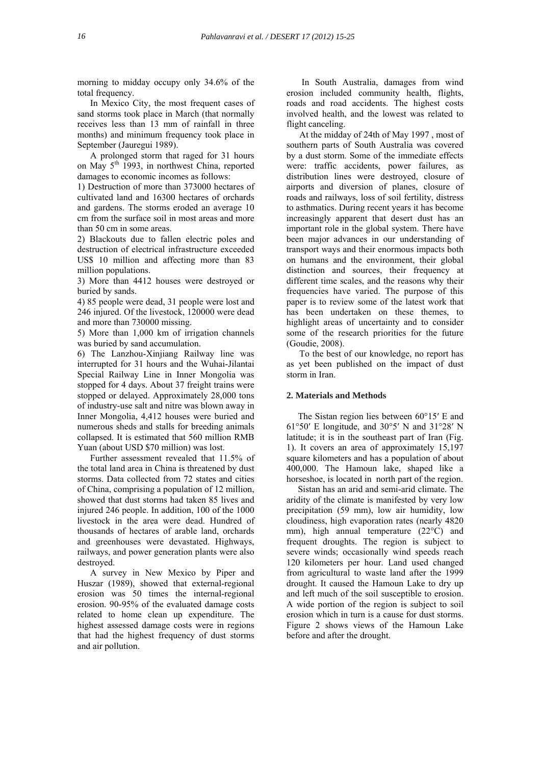morning to midday occupy only 34.6% of the total frequency.

In Mexico City, the most frequent cases of sand storms took place in March (that normally receives less than 13 mm of rainfall in three months) and minimum frequency took place in September (Jauregui 1989).

A prolonged storm that raged for 31 hours on May 5th 1993, in northwest China, reported damages to economic incomes as follows:

1) Destruction of more than 373000 hectares of cultivated land and 16300 hectares of orchards and gardens. The storms eroded an average 10 cm from the surface soil in most areas and more than 50 cm in some areas.

2) Blackouts due to fallen electric poles and destruction of electrical infrastructure exceeded US\$ 10 million and affecting more than 83 million populations.

3) More than 4412 houses were destroyed or buried by sands.

4) 85 people were dead, 31 people were lost and 246 injured. Of the livestock, 120000 were dead and more than 730000 missing.

5) More than 1,000 km of irrigation channels was buried by sand accumulation.

6) The Lanzhou-Xinjiang Railway line was interrupted for 31 hours and the Wuhai-Jilantai Special Railway Line in Inner Mongolia was stopped for 4 days. About 37 freight trains were stopped or delayed. Approximately 28,000 tons of industry-use salt and nitre was blown away in Inner Mongolia, 4,412 houses were buried and numerous sheds and stalls for breeding animals collapsed. It is estimated that 560 million RMB Yuan (about USD \$70 million) was lost.

Further assessment revealed that 11.5% of the total land area in China is threatened by dust storms. Data collected from 72 states and cities of China, comprising a population of 12 million, showed that dust storms had taken 85 lives and injured 246 people. In addition, 100 of the 1000 livestock in the area were dead. Hundred of thousands of hectares of arable land, orchards and greenhouses were devastated. Highways, railways, and power generation plants were also destroyed.

A survey in New Mexico by Piper and Huszar (1989), showed that external-regional erosion was 50 times the internal-regional erosion. 90-95% of the evaluated damage costs related to home clean up expenditure. The highest assessed damage costs were in regions that had the highest frequency of dust storms and air pollution.

 In South Australia, damages from wind erosion included community health, flights, roads and road accidents. The highest costs involved health, and the lowest was related to flight canceling.

At the midday of 24th of May 1997 , most of southern parts of South Australia was covered by a dust storm. Some of the immediate effects were: traffic accidents, power failures, as distribution lines were destroyed, closure of airports and diversion of planes, closure of roads and railways, loss of soil fertility, distress to asthmatics. During recent years it has become increasingly apparent that desert dust has an important role in the global system. There have been major advances in our understanding of transport ways and their enormous impacts both on humans and the environment, their global distinction and sources, their frequency at different time scales, and the reasons why their frequencies have varied. The purpose of this paper is to review some of the latest work that has been undertaken on these themes, to highlight areas of uncertainty and to consider some of the research priorities for the future (Goudie, 2008).

To the best of our knowledge, no report has as yet been published on the impact of dust storm in Iran.

## **2. Materials and Methods**

 The Sistan region lies between 60°15′ E and 61°50′ E longitude, and 30°5′ N and 31°28′ N latitude; it is in the southeast part of Iran (Fig. 1). It covers an area of approximately 15,197 square kilometers and has a population of about 400,000. The Hamoun lake, shaped like a horseshoe, is located in north part of the region.

 Sistan has an arid and semi-arid climate. The aridity of the climate is manifested by very low precipitation (59 mm), low air humidity, low cloudiness, high evaporation rates (nearly 4820 mm), high annual temperature (22°C) and frequent droughts. The region is subject to severe winds; occasionally wind speeds reach 120 kilometers per hour. Land used changed from agricultural to waste land after the 1999 drought. It caused the Hamoun Lake to dry up and left much of the soil susceptible to erosion. A wide portion of the region is subject to soil erosion which in turn is a cause for dust storms. Figure 2 shows views of the Hamoun Lake before and after the drought.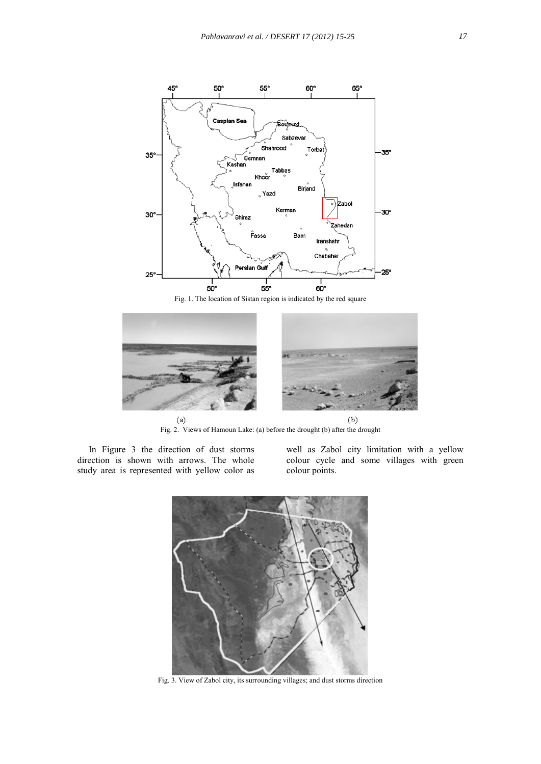

Fig. 1. The location of Sistan region is indicated by the red square



Fig. 2. Views of Hamoun Lake: (a) before the drought (b) after the drought

 In Figure 3 the direction of dust storms direction is shown with arrows. The whole study area is represented with yellow color as

well as Zabol city limitation with a yellow colour cycle and some villages with green colour points.



Fig. 3. View of Zabol city, its surrounding villages; and dust storms direction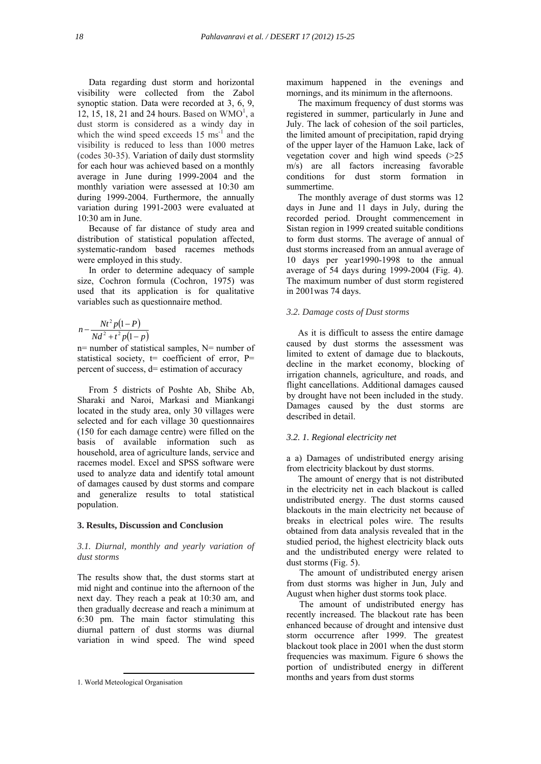Data regarding dust storm and horizontal visibility were collected from the Zabol synoptic station. Data were recorded at 3, 6, 9, 12, 15, 18, 21 and 24 hours. Based on  $WMO<sup>1</sup>$ , a dust storm is considered as a windy day in which the wind speed exceeds  $15 \text{ ms}^{-1}$  and the visibility is reduced to less than 1000 metres (codes 30-35). Variation of daily dust stormslity for each hour was achieved based on a monthly average in June during 1999-2004 and the monthly variation were assessed at 10:30 am during 1999-2004. Furthermore, the annually variation during 1991-2003 were evaluated at 10:30 am in June.

 Because of far distance of study area and distribution of statistical population affected, systematic-random based racemes methods were employed in this study.

 In order to determine adequacy of sample size, Cochron formula (Cochron, 1975) was used that its application is for qualitative variables such as questionnaire method.

$$
n - \frac{Nt^2 p(1 - P)}{Nd^2 + t^2 p(1 - p)}
$$

n= number of statistical samples, N= number of statistical society,  $t=$  coefficient of error,  $P=$ percent of success, d= estimation of accuracy

 From 5 districts of Poshte Ab, Shibe Ab, Sharaki and Naroi, Markasi and Miankangi located in the study area, only 30 villages were selected and for each village 30 questionnaires (150 for each damage centre) were filled on the basis of available information such as household, area of agriculture lands, service and racemes model. Excel and SPSS software were used to analyze data and identify total amount of damages caused by dust storms and compare and generalize results to total statistical population.

#### **3. Results, Discussion and Conclusion**

## *3.1. Diurnal, monthly and yearly variation of dust storms*

The results show that, the dust storms start at mid night and continue into the afternoon of the next day. They reach a peak at 10:30 am, and then gradually decrease and reach a minimum at 6:30 pm. The main factor stimulating this diurnal pattern of dust storms was diurnal variation in wind speed. The wind speed maximum happened in the evenings and mornings, and its minimum in the afternoons.

 The maximum frequency of dust storms was registered in summer, particularly in June and July. The lack of cohesion of the soil particles, the limited amount of precipitation, rapid drying of the upper layer of the Hamuon Lake, lack of vegetation cover and high wind speeds  $(>=25$ m/s) are all factors increasing favorable conditions for dust storm formation in summertime.

 The monthly average of dust storms was 12 days in June and 11 days in July, during the recorded period. Drought commencement in Sistan region in 1999 created suitable conditions to form dust storms. The average of annual of dust storms increased from an annual average of 10 days per year1990-1998 to the annual average of 54 days during 1999-2004 (Fig. 4). The maximum number of dust storm registered in 2001was 74 days.

## *3.2. Damage costs of Dust storms*

 As it is difficult to assess the entire damage caused by dust storms the assessment was limited to extent of damage due to blackouts, decline in the market economy, blocking of irrigation channels, agriculture, and roads, and flight cancellations. Additional damages caused by drought have not been included in the study. Damages caused by the dust storms are described in detail

#### *3.2. 1. Regional electricity net*

a a) Damages of undistributed energy arising from electricity blackout by dust storms.

 The amount of energy that is not distributed in the electricity net in each blackout is called undistributed energy. The dust storms caused blackouts in the main electricity net because of breaks in electrical poles wire. The results obtained from data analysis revealed that in the studied period, the highest electricity black outs and the undistributed energy were related to dust storms (Fig. 5).

The amount of undistributed energy arisen from dust storms was higher in Jun, July and August when higher dust storms took place.

The amount of undistributed energy has recently increased. The blackout rate has been enhanced because of drought and intensive dust storm occurrence after 1999. The greatest blackout took place in 2001 when the dust storm frequencies was maximum. Figure 6 shows the portion of undistributed energy in different months and years from dust storms

 <sup>1.</sup> World Meteological Organisation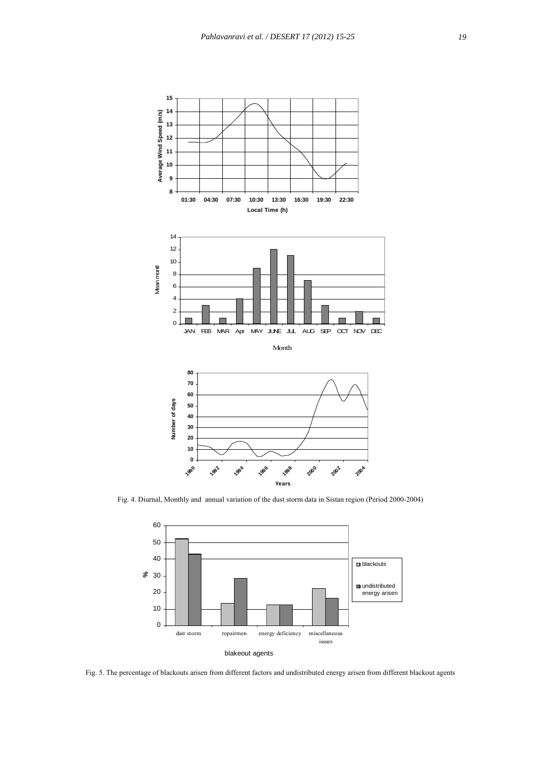

Fig. 4. Diurnal, Monthly and annual variation of the dust storm data in Sistan region (Period 2000-2004)



Fig. 5. The percentage of blackouts arisen from different factors and undistributed energy arisen from different blackout agents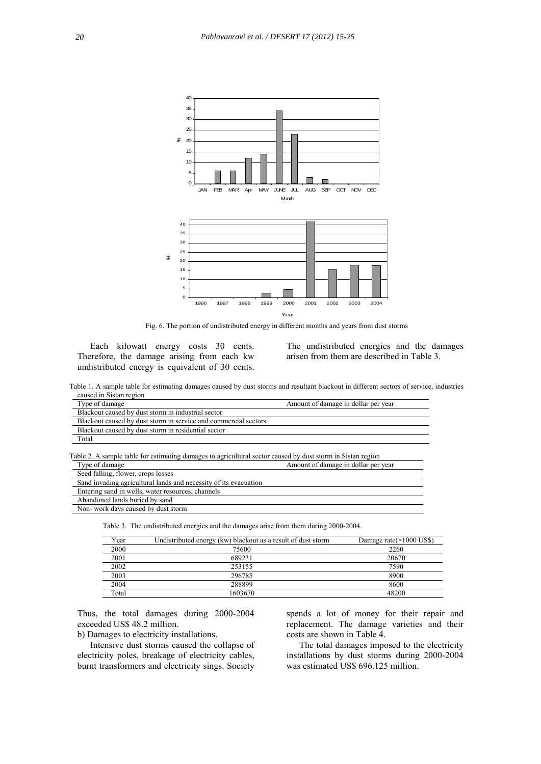

Fig. 6. The portion of undistributed energy in different months and years from dust storms

Each kilowatt energy costs 30 cents. Therefore, the damage arising from each kw undistributed energy is equivalent of 30 cents.

The undistributed energies and the damages arisen from them are described in Table 3.

Table 1. A sample table for estimating damages caused by dust storms and resultant blackout in different sectors of service, industries caused in Sistan region

| Type of damage                                                                                                                | Amount of damage in dollar per year |
|-------------------------------------------------------------------------------------------------------------------------------|-------------------------------------|
| Blackout caused by dust storm in industrial sector                                                                            |                                     |
| Blackout caused by dust storm in service and commercial sectors                                                               |                                     |
| Blackout caused by dust storm in residential sector                                                                           |                                     |
| Total                                                                                                                         |                                     |
| Table 2. A sample table for estimating damages to agricultural sector caused by dust storm in Sistan region<br>Type of damage | Amount of damage in dollar per year |
| Seed falling, flower, crops losses                                                                                            |                                     |
| Sand invading agricultural lands and necessity of its evacuation                                                              |                                     |
| Entering sand in wells, water resources, channels                                                                             |                                     |
| Abandoned lands buried by sand                                                                                                |                                     |
| Non-work days caused by dust storm                                                                                            |                                     |

Table 3. The undistributed energies and the damages arise from them during 2000-2004.

| Year  | Undistributed energy (kw) blackout as a result of dust storm | Damage rate $(\times 1000$ US\$) |
|-------|--------------------------------------------------------------|----------------------------------|
| 2000  | 75600                                                        | 2260                             |
| 2001  | 689231                                                       | 20670                            |
| 2002  | 253155                                                       | 7590                             |
| 2003  | 296785                                                       | 8900                             |
| 2004  | 288899                                                       | 8600                             |
| Total | 1603670                                                      | 48200                            |

Thus, the total damages during 2000-2004 exceeded US\$ 48.2 million.

b) Damages to electricity installations.

Intensive dust storms caused the collapse of electricity poles, breakage of electricity cables, burnt transformers and electricity sings. Society

spends a lot of money for their repair and replacement. The damage varieties and their costs are shown in Table 4.

The total damages imposed to the electricity installations by dust storms during 2000-2004 was estimated US\$ 696.125 million.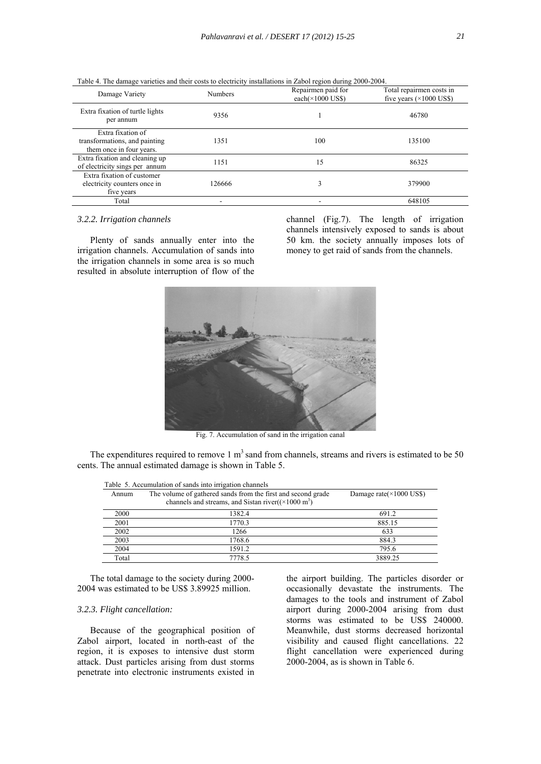| Damage Variety                                                                 | <b>Numbers</b> | Repairmen paid for<br>each( $\times$ 1000 US\$) | Total repairmen costs in<br>five years $(\times 1000$ US\$) |
|--------------------------------------------------------------------------------|----------------|-------------------------------------------------|-------------------------------------------------------------|
| Extra fixation of turtle lights<br>per annum                                   | 9356           |                                                 | 46780                                                       |
| Extra fixation of<br>transformations, and painting<br>them once in four years. | 1351           | 100                                             | 135100                                                      |
| Extra fixation and cleaning up<br>of electricity sings per annum               | 1151           | 15                                              | 86325                                                       |
| Extra fixation of customer<br>electricity counters once in<br>five years       | 126666         | 3                                               | 379900                                                      |
| Total                                                                          |                |                                                 | 648105                                                      |

Table 4. The damage varieties and their costs to electricity installations in Zabol region during 2000-2004.

#### *3.2.2. Irrigation channels*

Plenty of sands annually enter into the irrigation channels. Accumulation of sands into the irrigation channels in some area is so much resulted in absolute interruption of flow of the channel (Fig.7). The length of irrigation channels intensively exposed to sands is about 50 km. the society annually imposes lots of money to get raid of sands from the channels.



Fig. 7. Accumulation of sand in the irrigation canal

The expenditures required to remove 1  $m<sup>3</sup>$  sand from channels, streams and rivers is estimated to be 50 cents. The annual estimated damage is shown in Table 5.

|       | Table 5. Accumulation of sands into irrigation channels                                                                              |                                  |
|-------|--------------------------------------------------------------------------------------------------------------------------------------|----------------------------------|
| Annum | The volume of gathered sands from the first and second grade<br>channels and streams, and Sistan river $((\times 1000 \text{ m}^3))$ | Damage rate $(\times 1000$ US\$) |
| 2000  | 1382.4                                                                                                                               | 691.2                            |
| 2001  | 1770.3                                                                                                                               | 885.15                           |
| 2002  | 1266                                                                                                                                 | 633                              |
| 2003  | 1768.6                                                                                                                               | 884.3                            |
| 2004  | 1591.2                                                                                                                               | 795.6                            |
| Total | 7778.5                                                                                                                               | 3889.25                          |

The total damage to the society during 2000- 2004 was estimated to be US\$ 3.89925 million.

## *3.2.3. Flight cancellation:*

Because of the geographical position of Zabol airport, located in north-east of the region, it is exposes to intensive dust storm attack. Dust particles arising from dust storms penetrate into electronic instruments existed in

the airport building. The particles disorder or occasionally devastate the instruments. The damages to the tools and instrument of Zabol airport during 2000-2004 arising from dust storms was estimated to be US\$ 240000. Meanwhile, dust storms decreased horizontal visibility and caused flight cancellations. 22 flight cancellation were experienced during 2000-2004, as is shown in Table 6.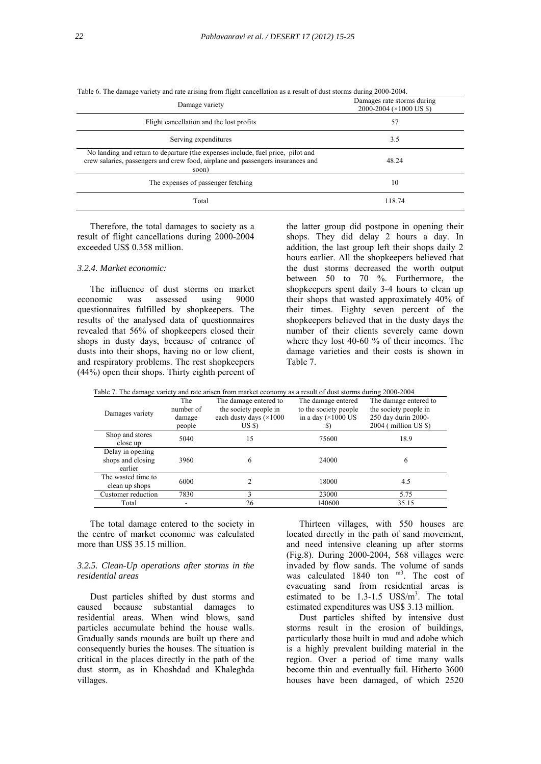| Damage variety                                                                                                                                                              | Damages rate storms during<br>2000-2004 (×1000 US \$) |
|-----------------------------------------------------------------------------------------------------------------------------------------------------------------------------|-------------------------------------------------------|
| Flight cancellation and the lost profits                                                                                                                                    | 57                                                    |
| Serving expenditures                                                                                                                                                        | 3.5                                                   |
| No landing and return to departure (the expenses include, fuel price, pilot and<br>crew salaries, passengers and crew food, airplane and passengers insurances and<br>soon) | 48.24                                                 |
| The expenses of passenger fetching                                                                                                                                          | 10                                                    |
| Total                                                                                                                                                                       | 118.74                                                |

Table 6. The damage variety and rate arising from flight cancellation as a result of dust storms during 2000-2004.

Therefore, the total damages to society as a result of flight cancellations during 2000-2004 exceeded US\$ 0.358 million.

## *3.2.4. Market economic:*

The influence of dust storms on market economic was assessed using 9000 questionnaires fulfilled by shopkeepers. The results of the analysed data of questionnaires revealed that 56% of shopkeepers closed their shops in dusty days, because of entrance of dusts into their shops, having no or low client, and respiratory problems. The rest shopkeepers (44%) open their shops. Thirty eighth percent of the latter group did postpone in opening their shops. They did delay 2 hours a day. In addition, the last group left their shops daily 2 hours earlier. All the shopkeepers believed that the dust storms decreased the worth output between 50 to 70 %. Furthermore, the shopkeepers spent daily 3-4 hours to clean up their shops that wasted approximately 40% of their times. Eighty seven percent of the shopkeepers believed that in the dusty days the number of their clients severely came down where they lost 40-60 % of their incomes. The damage varieties and their costs is shown in Table 7.

|                    |           | Table 7. The damage variety and rate arisen from market economy as a result of dust storms during 2000-2004 |                            |                       |
|--------------------|-----------|-------------------------------------------------------------------------------------------------------------|----------------------------|-----------------------|
|                    | The       | The damage entered to                                                                                       | The damage entered         | The damage entered to |
| Damages variety    | number of | the society people in                                                                                       | to the society people      | the society people in |
|                    | damage    | each dusty days $(\times 1000$                                                                              | in a day $(\times 1000$ US | 250 day durin 2000-   |
|                    | people    | USS                                                                                                         |                            | 2004 (million US \$)  |
| Shop and stores    | 5040      | 15                                                                                                          | 75600                      | 18.9                  |
| close up           |           |                                                                                                             |                            |                       |
| Delay in opening   |           |                                                                                                             |                            |                       |
| shops and closing  | 3960      | 6                                                                                                           | 24000                      | 6                     |
| earlier            |           |                                                                                                             |                            |                       |
| The wasted time to | 6000      |                                                                                                             | 18000                      |                       |
| clean up shops     |           |                                                                                                             |                            | 4.5                   |
| Customer reduction | 7830      |                                                                                                             | 23000                      | 5.75                  |
| Total              |           | 26                                                                                                          | 140600                     | 35.15                 |

The total damage entered to the society in the centre of market economic was calculated more than US\$ 35.15 million.

## *3.2.5. Clean-Up operations after storms in the residential areas*

Dust particles shifted by dust storms and caused because substantial damages to residential areas. When wind blows, sand particles accumulate behind the house walls. Gradually sands mounds are built up there and consequently buries the houses. The situation is critical in the places directly in the path of the dust storm, as in Khoshdad and Khaleghda villages.

Thirteen villages, with 550 houses are located directly in the path of sand movement, and need intensive cleaning up after storms (Fig.8). During 2000-2004, 568 villages were invaded by flow sands. The volume of sands was calculated 1840 ton m<sup>3</sup>. The cost of evacuating sand from residential areas is estimated to be  $1.3 - 1.5$  US\$/ $m<sup>3</sup>$ . The total estimated expenditures was US\$ 3.13 million.

Dust particles shifted by intensive dust storms result in the erosion of buildings, particularly those built in mud and adobe which is a highly prevalent building material in the region. Over a period of time many walls become thin and eventually fail. Hitherto 3600 houses have been damaged, of which 2520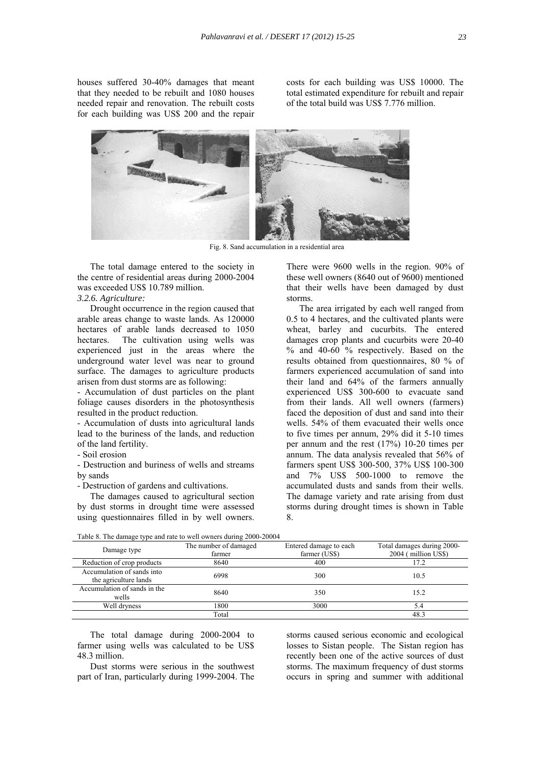houses suffered 30-40% damages that meant that they needed to be rebuilt and 1080 houses needed repair and renovation. The rebuilt costs for each building was US\$ 200 and the repair

costs for each building was US\$ 10000. The total estimated expenditure for rebuilt and repair of the total build was US\$ 7.776 million.



Fig. 8. Sand accumulation in a residential area

The total damage entered to the society in the centre of residential areas during 2000-2004 was exceeded US\$ 10.789 million.

## *3.2.6. Agriculture:*

Drought occurrence in the region caused that arable areas change to waste lands. As 120000 hectares of arable lands decreased to 1050 hectares. The cultivation using wells was experienced just in the areas where the underground water level was near to ground surface. The damages to agriculture products arisen from dust storms are as following:

- Accumulation of dust particles on the plant foliage causes disorders in the photosynthesis resulted in the product reduction.

- Accumulation of dusts into agricultural lands lead to the buriness of the lands, and reduction of the land fertility.

- Soil erosion

- Destruction and buriness of wells and streams by sands

- Destruction of gardens and cultivations.

The damages caused to agricultural section by dust storms in drought time were assessed using questionnaires filled in by well owners.

There were 9600 wells in the region. 90% of these well owners (8640 out of 9600) mentioned that their wells have been damaged by dust storms.

The area irrigated by each well ranged from 0.5 to 4 hectares, and the cultivated plants were wheat, barley and cucurbits. The entered damages crop plants and cucurbits were 20-40 % and 40-60 % respectively. Based on the results obtained from questionnaires, 80 % of farmers experienced accumulation of sand into their land and 64% of the farmers annually experienced US\$ 300-600 to evacuate sand from their lands. All well owners (farmers) faced the deposition of dust and sand into their wells. 54% of them evacuated their wells once to five times per annum, 29% did it 5-10 times per annum and the rest (17%) 10-20 times per annum. The data analysis revealed that 56% of farmers spent US\$ 300-500, 37% US\$ 100-300 and 7% US\$ 500-1000 to remove the accumulated dusts and sands from their wells. The damage variety and rate arising from dust storms during drought times is shown in Table 8.

Table 8. The damage type and rate to well owners during 2000-20004

| Damage type                                         | The number of damaged<br>farmer | Entered damage to each<br>farmer (US\$) | Total damages during 2000-<br>2004 (million US\$) |
|-----------------------------------------------------|---------------------------------|-----------------------------------------|---------------------------------------------------|
| Reduction of crop products                          | 8640                            | 400                                     | 17.2                                              |
| Accumulation of sands into<br>the agriculture lands | 6998                            | 300                                     | 10.5                                              |
| Accumulation of sands in the<br>wells               | 8640                            | 350                                     | 15.2                                              |
| Well dryness                                        | 1800                            | 3000                                    | 5.4                                               |
|                                                     | Total                           |                                         | 48.3                                              |

The total damage during 2000-2004 to farmer using wells was calculated to be US\$ 48.3 million.

Dust storms were serious in the southwest part of Iran, particularly during 1999-2004. The

storms caused serious economic and ecological losses to Sistan people. The Sistan region has recently been one of the active sources of dust storms. The maximum frequency of dust storms occurs in spring and summer with additional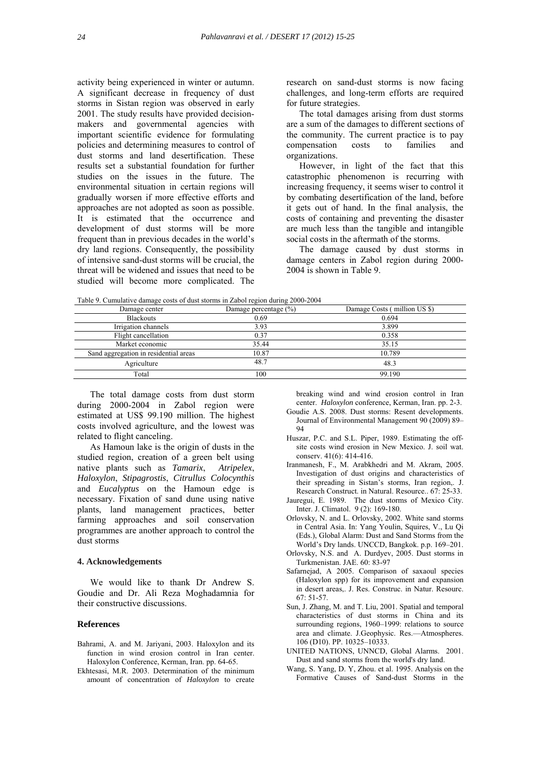activity being experienced in winter or autumn. A significant decrease in frequency of dust storms in Sistan region was observed in early 2001. The study results have provided decisionmakers and governmental agencies with important scientific evidence for formulating policies and determining measures to control of dust storms and land desertification. These results set a substantial foundation for further studies on the issues in the future. The environmental situation in certain regions will gradually worsen if more effective efforts and approaches are not adopted as soon as possible. It is estimated that the occurrence and development of dust storms will be more frequent than in previous decades in the world's dry land regions. Consequently, the possibility of intensive sand-dust storms will be crucial, the threat will be widened and issues that need to be studied will become more complicated. The

research on sand-dust storms is now facing challenges, and long-term efforts are required for future strategies.

The total damages arising from dust storms are a sum of the damages to different sections of the community. The current practice is to pay compensation costs to families and organizations.

However, in light of the fact that this catastrophic phenomenon is recurring with increasing frequency, it seems wiser to control it by combating desertification of the land, before it gets out of hand. In the final analysis, the costs of containing and preventing the disaster are much less than the tangible and intangible social costs in the aftermath of the storms.

The damage caused by dust storms in damage centers in Zabol region during 2000- 2004 is shown in Table 9.

Table 9. Cumulative damage costs of dust storms in Zabol region during 2000-2004

| Table 9. Cumulative damage costs of dust storms in Zabol region during 2000-2004 |                           |                              |  |
|----------------------------------------------------------------------------------|---------------------------|------------------------------|--|
| Damage center                                                                    | Damage percentage $(\% )$ | Damage Costs (million US \$) |  |
| <b>Blackouts</b>                                                                 | 0.69                      | 0.694                        |  |
| Irrigation channels                                                              | 3.93                      | 3.899                        |  |
| Flight cancellation                                                              | 0.37                      | 0.358                        |  |
| Market economic                                                                  | 35.44                     | 35.15                        |  |
| Sand aggregation in residential areas                                            | 10.87                     | 10.789                       |  |
| Agriculture                                                                      | 48.7                      | 48.3                         |  |
| Total                                                                            | 100                       | 99.190                       |  |

The total damage costs from dust storm during 2000-2004 in Zabol region were estimated at US\$ 99.190 million. The highest costs involved agriculture, and the lowest was related to flight canceling.

As Hamoun lake is the origin of dusts in the studied region, creation of a green belt using native plants such as *Tamarix*, *Atripelex*, *Haloxylon*, *Stipagrostis*, *Citrullus Colocynthis* and *Eucalyptus* on the Hamoun edge is necessary. Fixation of sand dune using native plants, land management practices, better farming approaches and soil conservation programmes are another approach to control the dust storms

#### **4. Acknowledgements**

We would like to thank Dr Andrew S. Goudie and Dr. Ali Reza Moghadamnia for their constructive discussions.

## **References**

- Bahrami, A. and M. Jariyani, 2003. Haloxylon and its function in wind erosion control in Iran center. Haloxylon Conference, Kerman, Iran. pp. 64-65.
- Ekhtesasi, M.R. 2003. Determination of the minimum amount of concentration of *Haloxylon* to create

 breaking wind and wind erosion control in Iran center. *Haloxylon* conference, Kerman, Iran. pp. 2-3.

- Goudie A.S. 2008. Dust storms: Resent developments. Journal of Environmental Management 90 (2009) 89– 94
- Huszar, P.C. and S.L. Piper, 1989. Estimating the off site costs wind erosion in New Mexico. J. soil wat. conserv. 41(6): 414-416.
- Iranmanesh, F., M. Arabkhedri and M. Akram, 2005. Investigation of dust origins and characteristics of their spreading in Sistan's storms, Iran region,. J. Research Construct. in Natural. Resource.. 67: 25-33.
- Jauregui, E. 1989. The dust storms of Mexico City. Inter. J. Climatol. 9 (2): 169-180.
- Orlovsky, N. and L. Orlovsky, 2002. White sand storms in Central Asia. In: Yang Youlin, Squires, V., Lu Qi (Eds.), Global Alarm: Dust and Sand Storms from the World's Dry lands. UNCCD, Bangkok. p.p. 169–201.
- Orlovsky, N.S. and A. Durdyev, 2005. Dust storms in Turkmenistan. JAE. 60: 83-97
- Safarnejad, A 2005. Comparison of saxaoul species (Haloxylon spp) for its improvement and expansion in desert areas,. J. Res. Construc. in Natur. Resourc. 67: 51-57.
- Sun, J. Zhang, M. and T. Liu, 2001. Spatial and temporal characteristics of dust storms in China and its surrounding regions, 1960–1999: relations to source area and climate. J.Geophysic. Res.—Atmospheres. 106 (D10). PP. 10325–10333.
- UNITED NATIONS, UNNCD, Global Alarms. 2001. Dust and sand storms from the world's dry land.
- Wang, S. Yang, D. Y, Zhou. et al. 1995. Analysis on the Formative Causes of Sand-dust Storms in the